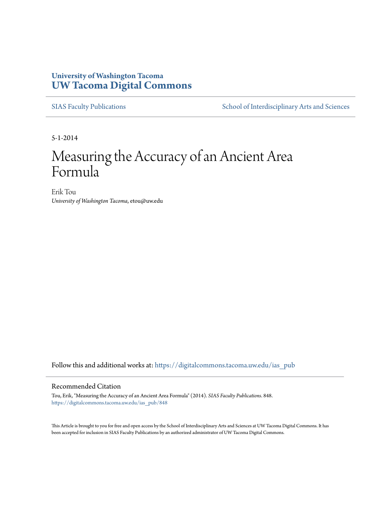## **University of Washington Tacoma [UW Tacoma Digital Commons](https://digitalcommons.tacoma.uw.edu?utm_source=digitalcommons.tacoma.uw.edu%2Fias_pub%2F848&utm_medium=PDF&utm_campaign=PDFCoverPages)**

[SIAS Faculty Publications](https://digitalcommons.tacoma.uw.edu/ias_pub?utm_source=digitalcommons.tacoma.uw.edu%2Fias_pub%2F848&utm_medium=PDF&utm_campaign=PDFCoverPages) [School of Interdisciplinary Arts and Sciences](https://digitalcommons.tacoma.uw.edu/ias?utm_source=digitalcommons.tacoma.uw.edu%2Fias_pub%2F848&utm_medium=PDF&utm_campaign=PDFCoverPages)

5-1-2014

# Measuring the Accuracy of an Ancient Area Formula

Erik Tou *University of Washington Tacoma*, etou@uw.edu

Follow this and additional works at: [https://digitalcommons.tacoma.uw.edu/ias\\_pub](https://digitalcommons.tacoma.uw.edu/ias_pub?utm_source=digitalcommons.tacoma.uw.edu%2Fias_pub%2F848&utm_medium=PDF&utm_campaign=PDFCoverPages)

#### Recommended Citation

Tou, Erik, "Measuring the Accuracy of an Ancient Area Formula" (2014). *SIAS Faculty Publications*. 848. [https://digitalcommons.tacoma.uw.edu/ias\\_pub/848](https://digitalcommons.tacoma.uw.edu/ias_pub/848?utm_source=digitalcommons.tacoma.uw.edu%2Fias_pub%2F848&utm_medium=PDF&utm_campaign=PDFCoverPages)

This Article is brought to you for free and open access by the School of Interdisciplinary Arts and Sciences at UW Tacoma Digital Commons. It has been accepted for inclusion in SIAS Faculty Publications by an authorized administrator of UW Tacoma Digital Commons.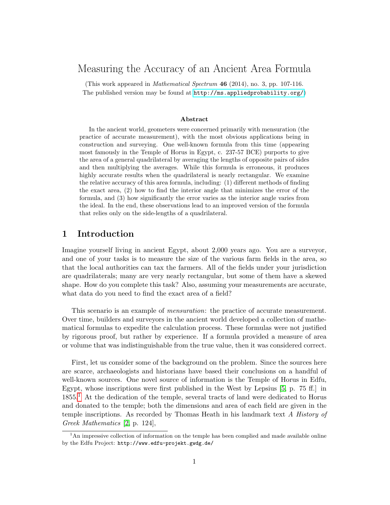# Measuring the Accuracy of an Ancient Area Formula

(This work appeared in Mathematical Spectrum 46 (2014), no. 3, pp. 107-116. The published version may be found at <http://ms.appliedprobability.org/>)

#### Abstract

In the ancient world, geometers were concerned primarily with mensuration (the practice of accurate measurement), with the most obvious applications being in construction and surveying. One well-known formula from this time (appearing most famously in the Temple of Horus in Egypt, c. 237-57 BCE) purports to give the area of a general quadrilateral by averaging the lengths of opposite pairs of sides and then multiplying the averages. While this formula is erroneous, it produces highly accurate results when the quadrilateral is nearly rectangular. We examine the relative accuracy of this area formula, including: (1) different methods of finding the exact area, (2) how to find the interior angle that minimizes the error of the formula, and (3) how significantly the error varies as the interior angle varies from the ideal. In the end, these observations lead to an improved version of the formula that relies only on the side-lengths of a quadrilateral.

#### 1 Introduction

Imagine yourself living in ancient Egypt, about 2,000 years ago. You are a surveyor, and one of your tasks is to measure the size of the various farm fields in the area, so that the local authorities can tax the farmers. All of the fields under your jurisdiction are quadrilaterals; many are very nearly rectangular, but some of them have a skewed shape. How do you complete this task? Also, assuming your measurements are accurate, what data do you need to find the exact area of a field?

This scenario is an example of mensuration: the practice of accurate measurement. Over time, builders and surveyors in the ancient world developed a collection of mathematical formulas to expedite the calculation process. These formulas were not justified by rigorous proof, but rather by experience. If a formula provided a measure of area or volume that was indistinguishable from the true value, then it was considered correct.

First, let us consider some of the background on the problem. Since the sources here are scarce, archaeologists and historians have based their conclusions on a handful of well-known sources. One novel source of information is the Temple of Horus in Edfu, Egypt, whose inscriptions were first published in the West by Lepsius [\[5,](#page-11-0) p. 75 ff.] in  $1855<sup>1</sup>$  $1855<sup>1</sup>$  At the dedication of the temple, several tracts of land were dedicated to Horus and donated to the temple; both the dimensions and area of each field are given in the temple inscriptions. As recorded by Thomas Heath in his landmark text A History of Greek Mathematics [\[2,](#page-11-1) p. 124],

<span id="page-1-0"></span><sup>&</sup>lt;sup>1</sup>An impressive collection of information on the temple has been complied and made available online by the Edfu Project: http://www.edfu-projekt.gwdg.de/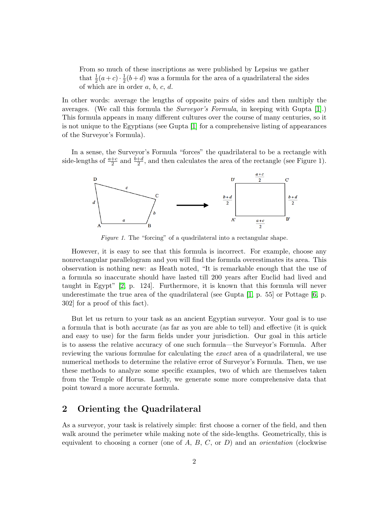From so much of these inscriptions as were published by Lepsius we gather that  $\frac{1}{2}(a+c)\cdot\frac{1}{2}$  $\frac{1}{2}(b+d)$  was a formula for the area of a quadrilateral the sides of which are in order  $a, b, c, d$ .

In other words: average the lengths of opposite pairs of sides and then multiply the averages. (We call this formula the Surveyor's Formula, in keeping with Gupta [\[1\]](#page-11-2).) This formula appears in many different cultures over the course of many centuries, so it is not unique to the Egyptians (see Gupta [\[1\]](#page-11-2) for a comprehensive listing of appearances of the Surveyor's Formula).

In a sense, the Surveyor's Formula "forces" the quadrilateral to be a rectangle with side-lengths of  $\frac{a+c}{2}$  and  $\frac{b+d}{2}$ , and then calculates the area of the rectangle (see Figure 1).



Figure 1. The "forcing" of a quadrilateral into a rectangular shape.

However, it is easy to see that this formula is incorrect. For example, choose any nonrectangular parallelogram and you will find the formula overestimates its area. This observation is nothing new: as Heath noted, "It is remarkable enough that the use of a formula so inaccurate should have lasted till 200 years after Euclid had lived and taught in Egypt" [\[2,](#page-11-1) p. 124]. Furthermore, it is known that this formula will never underestimate the true area of the quadrilateral (see Gupta [\[1,](#page-11-2) p. 55] or Pottage [\[6,](#page-11-3) p. 302] for a proof of this fact).

But let us return to your task as an ancient Egyptian surveyor. Your goal is to use a formula that is both accurate (as far as you are able to tell) and effective (it is quick and easy to use) for the farm fields under your jurisdiction. Our goal in this article is to assess the relative accuracy of one such formula—the Surveyor's Formula. After reviewing the various formulae for calculating the exact area of a quadrilateral, we use numerical methods to determine the relative error of Surveyor's Formula. Then, we use these methods to analyze some specific examples, two of which are themselves taken from the Temple of Horus. Lastly, we generate some more comprehensive data that point toward a more accurate formula.

#### 2 Orienting the Quadrilateral

As a surveyor, your task is relatively simple: first choose a corner of the field, and then walk around the perimeter while making note of the side-lengths. Geometrically, this is equivalent to choosing a corner (one of A, B, C, or D) and an *orientation* (clockwise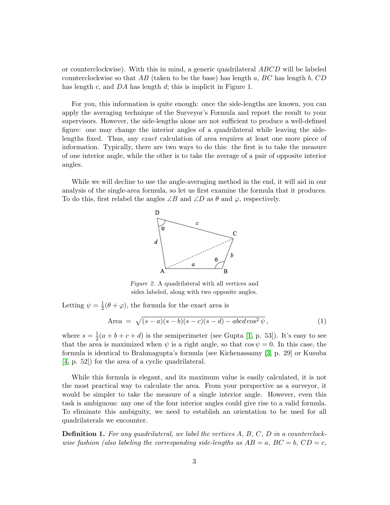or counterclockwise). With this in mind, a generic quadrilateral ABCD will be labeled counterclockwise so that AB (taken to be the base) has length a, BC has length b, CD has length c, and DA has length d; this is implicit in Figure 1.

For you, this information is quite enough: once the side-lengths are known, you can apply the averaging technique of the Surveyor's Formula and report the result to your supervisors. However, the side-lengths alone are not sufficient to produce a well-defined figure: one may change the interior angles of a quadrilateral while leaving the sidelengths fixed. Thus, any exact calculation of area requires at least one more piece of information. Typically, there are two ways to do this: the first is to take the measure of one interior angle, while the other is to take the average of a pair of opposite interior angles.

While we will decline to use the angle-averaging method in the end, it will aid in our analysis of the single-area formula, so let us first examine the formula that it produces. To do this, first relabel the angles  $\angle B$  and  $\angle D$  as  $\theta$  and  $\varphi$ , respectively.



Figure 2. A quadrilateral with all vertices and sides labeled, along with two opposite angles.

Letting  $\psi = \frac{1}{2}$  $\frac{1}{2}(\theta + \varphi)$ , the formula for the exact area is

<span id="page-3-0"></span>Area = 
$$
\sqrt{(s-a)(s-b)(s-c)(s-d) - abcd \cos^2 \psi}
$$
, (1)

where  $s=\frac{1}{2}$  $\frac{1}{2}(a+b+c+d)$  is the semiperimeter (see Gupta [\[1,](#page-11-2) p. 53]). It's easy to see that the area is maximized when  $\psi$  is a right angle, so that cos  $\psi = 0$ . In this case, the formula is identical to Brahmagupta's formula (see Kichenassamy [\[3,](#page-11-4) p. 29] or Kusuba [\[4,](#page-11-5) p. 52]) for the area of a cyclic quadrilateral.

While this formula is elegant, and its maximum value is easily calculated, it is not the most practical way to calculate the area. From your perspective as a surveyor, it would be simpler to take the measure of a single interior angle. However, even this task is ambiguous: any one of the four interior angles could give rise to a valid formula. To eliminate this ambiguity, we need to establish an orientation to be used for all quadrilaterals we encounter.

**Definition 1.** For any quadrilateral, we label the vertices  $A, B, C, D$  in a counterclockwise fashion (also labeling the corresponding side-lengths as  $AB = a$ ,  $BC = b$ ,  $CD = c$ ,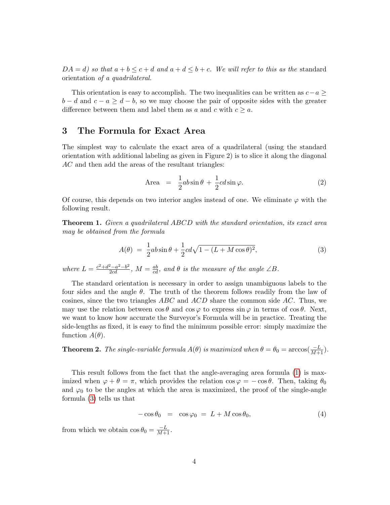$DA = d$ ) so that  $a + b \leq c + d$  and  $a + d \leq b + c$ . We will refer to this as the standard orientation of a quadrilateral.

This orientation is easy to accomplish. The two inequalities can be written as  $c-a \geq$  $b - d$  and  $c - a \geq d - b$ , so we may choose the pair of opposite sides with the greater difference between them and label them as a and c with  $c \geq a$ .

## 3 The Formula for Exact Area

The simplest way to calculate the exact area of a quadrilateral (using the standard orientation with additional labeling as given in Figure 2) is to slice it along the diagonal AC and then add the areas of the resultant triangles:

<span id="page-4-1"></span>Area = 
$$
\frac{1}{2}ab\sin\theta + \frac{1}{2}cd\sin\varphi
$$
. (2)

Of course, this depends on two interior angles instead of one. We eliminate  $\varphi$  with the following result.

**Theorem 1.** Given a quadrilateral ABCD with the standard orientation, its exact area may be obtained from the formula

<span id="page-4-0"></span>
$$
A(\theta) = \frac{1}{2}ab\sin\theta + \frac{1}{2}cd\sqrt{1 - (L + M\cos\theta)^2},
$$
\n(3)

where  $L = \frac{c^2 + d^2 - a^2 - b^2}{2cd}$ ,  $M = \frac{ab}{cd}$ , and  $\theta$  is the measure of the angle  $\angle B$ .

The standard orientation is necessary in order to assign unambiguous labels to the four sides and the angle  $\theta$ . The truth of the theorem follows readily from the law of cosines, since the two triangles  $ABC$  and  $ACD$  share the common side AC. Thus, we may use the relation between  $\cos \theta$  and  $\cos \varphi$  to express  $\sin \varphi$  in terms of  $\cos \theta$ . Next, we want to know how accurate the Surveyor's Formula will be in practice. Treating the side-lengths as fixed, it is easy to find the minimum possible error: simply maximize the function  $A(\theta)$ .

**Theorem 2.** The single-variable formula  $A(\theta)$  is maximized when  $\theta = \theta_0 = \arccos(\frac{-L}{M+1})$ .

This result follows from the fact that the angle-averaging area formula [\(1\)](#page-3-0) is maximized when  $\varphi + \theta = \pi$ , which provides the relation  $\cos \varphi = -\cos \theta$ . Then, taking  $\theta_0$ and  $\varphi_0$  to be the angles at which the area is maximized, the proof of the single-angle formula [\(3\)](#page-4-0) tells us that

$$
-\cos\theta_0 = \cos\varphi_0 = L + M\cos\theta_0, \tag{4}
$$

from which we obtain  $\cos \theta_0 = \frac{-L}{M+1}$ .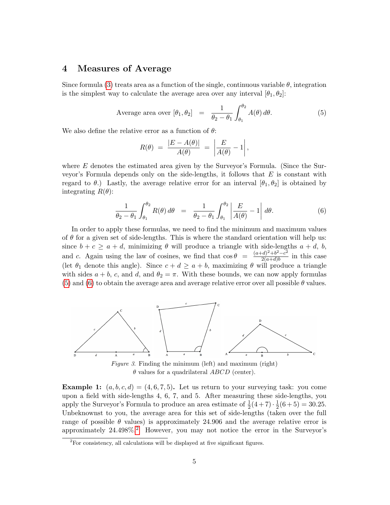#### 4 Measures of Average

Since formula [\(3\)](#page-4-0) treats area as a function of the single, continuous variable  $\theta$ , integration is the simplest way to calculate the average area over any interval  $[\theta_1, \theta_2]$ :

<span id="page-5-0"></span>Average area over 
$$
[\theta_1, \theta_2]
$$
 =  $\frac{1}{\theta_2 - \theta_1} \int_{\theta_1}^{\theta_2} A(\theta) d\theta$ . (5)

We also define the relative error as a function of  $\theta$ :

$$
R(\theta) = \frac{|E - A(\theta)|}{A(\theta)} = \left| \frac{E}{A(\theta)} - 1 \right|,
$$

where  $E$  denotes the estimated area given by the Surveyor's Formula. (Since the Surveyor's Formula depends only on the side-lengths, it follows that  $E$  is constant with regard to  $\theta$ .) Lastly, the average relative error for an interval  $[\theta_1, \theta_2]$  is obtained by integrating  $R(\theta)$ :

<span id="page-5-1"></span>
$$
\frac{1}{\theta_2 - \theta_1} \int_{\theta_1}^{\theta_2} R(\theta) d\theta = \frac{1}{\theta_2 - \theta_1} \int_{\theta_1}^{\theta_2} \left| \frac{E}{A(\theta)} - 1 \right| d\theta. \tag{6}
$$

In order to apply these formulas, we need to find the minimum and maximum values of  $\theta$  for a given set of side-lengths. This is where the standard orientation will help us: since  $b + c \ge a + d$ , minimizing  $\theta$  will produce a triangle with side-lengths  $a + d$ ,  $b$ , and c. Again using the law of cosines, we find that  $\cos \theta = \frac{(a+d)^2 + b^2 - c^2}{2(a+d) b}$  $\frac{a^{2}-a^{2}}{2(a+d)b}$  in this case (let  $\theta_1$  denote this angle). Since  $c + d \ge a + b$ , maximizing  $\theta$  will produce a triangle with sides  $a + b$ , c, and d, and  $\theta_2 = \pi$ . With these bounds, we can now apply formulas [\(5\)](#page-5-0) and [\(6\)](#page-5-1) to obtain the average area and average relative error over all possible  $\theta$  values.



Figure 3. Finding the minimum (left) and maximum (right)  $\theta$  values for a quadrilateral ABCD (center).

**Example 1:**  $(a, b, c, d) = (4, 6, 7, 5)$ . Let us return to your surveying task: you come upon a field with side-lengths 4, 6, 7, and 5. After measuring these side-lengths, you apply the Surveyor's Formula to produce an area estimate of  $\frac{1}{2}(4+7) \cdot \frac{1}{2}$  $\frac{1}{2}(6+5) = 30.25.$ Unbeknownst to you, the average area for this set of side-lengths (taken over the full range of possible  $\theta$  values) is approximately 24.906 and the average relative error is approximately  $24.498\%$  $24.498\%$ <sup>2</sup> However, you may not notice the error in the Surveyor's

<span id="page-5-2"></span> ${}^{2}$ For consistency, all calculations will be displayed at five significant figures.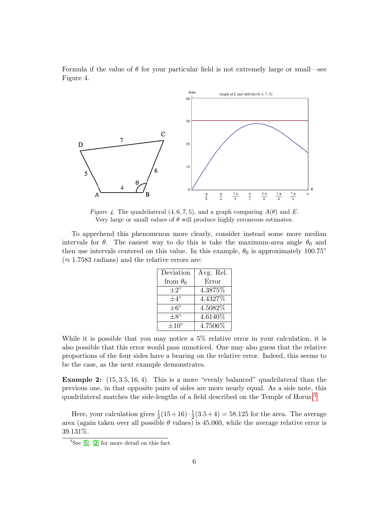Formula if the value of  $\theta$  for your particular field is not extremely large or small—see Figure 4.



Figure 4. The quadrilateral  $(4, 6, 7, 5)$ , and a graph comparing  $A(\theta)$  and E. Very large or small values of  $\theta$  will produce highly erroneous estimates.

To apprehend this phenomenon more clearly, consider instead some more median intervals for  $\theta$ . The easiest way to do this is take the maximum-area angle  $\theta_0$  and then use intervals centered on this value. In this example,  $\theta_0$  is approximately 100.75<sup>°</sup>  $(\approx 1.7583 \text{ radians})$  and the relative errors are:

| Deviation        | Avg. Rel. |  |  |
|------------------|-----------|--|--|
| from $\theta_0$  | Error     |  |  |
| $+2^{\circ}$     | 4.3875%   |  |  |
| $+4^{\circ}$     | 4.4327%   |  |  |
| $+6^\circ$       | 4.5082\%  |  |  |
| $+8^\circ$       | 4.6140\%  |  |  |
| $\pm 10^{\circ}$ | 4.7506\%  |  |  |

While it is possible that you may notice a 5% relative error in your calculation, it is also possible that this error would pass unnoticed. One may also guess that the relative proportions of the four sides have a bearing on the relative error. Indeed, this seems to be the case, as the next example demonstrates.

**Example 2:**  $(15, 3.5, 16, 4)$ . This is a more "evenly balanced" quadrilateral than the previous one, in that opposite pairs of sides are more nearly equal. As a side note, this quadrilateral matches the side-lengths of a field described on the Temple of Horus.[3](#page-6-0)

Here, your calculation gives  $\frac{1}{2}(15+16) \cdot \frac{1}{2}$  $\frac{1}{2}(3.5+4) = 58.125$  for the area. The average area (again taken over all possible  $\theta$  values) is 45.060, while the average relative error is 39.131%.

<span id="page-6-0"></span> ${}^{3}$ See [\[5\]](#page-11-0), [\[2\]](#page-11-1) for more detail on this fact.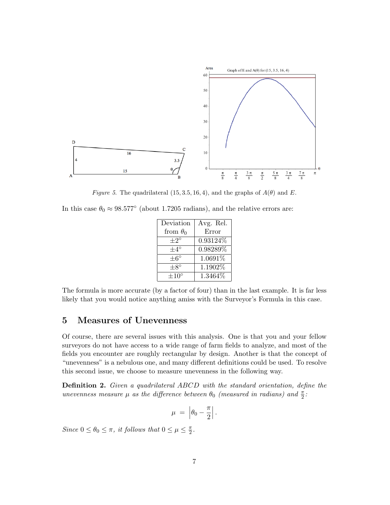

Figure 5. The quadrilateral (15, 3.5, 16, 4), and the graphs of  $A(\theta)$  and E.

In this case  $\theta_0 \approx 98.577$ ° (about 1.7205 radians), and the relative errors are:

| Deviation       | Avg. Rel. |  |
|-----------------|-----------|--|
| from $\theta_0$ | Error     |  |
| $+2^\circ$      | 0.93124%  |  |
| $+4^{\circ}$    | 0.98289%  |  |
| $\pm 6^{\circ}$ | 1.0691%   |  |
| $+8^\circ$      | 1.1902%   |  |
| $+10^{\circ}$   | 1.3464%   |  |

The formula is more accurate (by a factor of four) than in the last example. It is far less likely that you would notice anything amiss with the Surveyor's Formula in this case.

## 5 Measures of Unevenness

Of course, there are several issues with this analysis. One is that you and your fellow surveyors do not have access to a wide range of farm fields to analyze, and most of the fields you encounter are roughly rectangular by design. Another is that the concept of "unevenness" is a nebulous one, and many different definitions could be used. To resolve this second issue, we choose to measure unevenness in the following way.

Definition 2. Given a quadrilateral ABCD with the standard orientation, define the unevenness measure  $\mu$  as the difference between  $\theta_0$  (measured in radians) and  $\frac{\pi}{2}$ :

$$
\mu = \left| \theta_0 - \frac{\pi}{2} \right|.
$$

Since  $0 \le \theta_0 \le \pi$ , it follows that  $0 \le \mu \le \frac{\pi}{2}$  $\frac{\pi}{2}$ .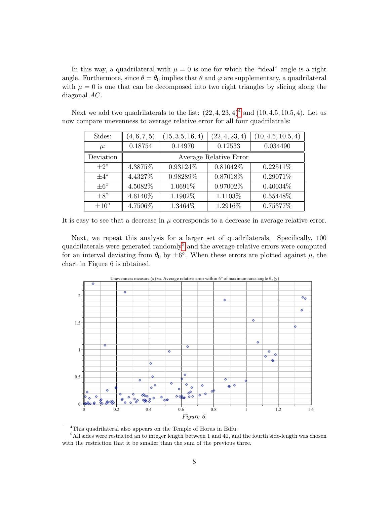In this way, a quadrilateral with  $\mu = 0$  is one for which the "ideal" angle is a right angle. Furthermore, since  $\theta = \theta_0$  implies that  $\theta$  and  $\varphi$  are supplementary, a quadrilateral with  $\mu = 0$  is one that can be decomposed into two right triangles by slicing along the diagonal AC.

| Sides:           | (4, 6, 7, 5)           | (15, 3.5, 16, 4) | (22, 4, 23, 4) | (10, 4.5, 10.5, 4) |  |  |
|------------------|------------------------|------------------|----------------|--------------------|--|--|
| $\mu$ :          | 0.18754                | 0.14970          | 0.12533        | 0.034490           |  |  |
| Deviation        | Average Relative Error |                  |                |                    |  |  |
| $+2^{\circ}$     | 4.3875%                | 0.93124\%        | 0.81042\%      | $0.22511\%$        |  |  |
| $\pm 4^{\circ}$  | 4.4327\%               | 0.98289%         | 0.87018%       | 0.29071%           |  |  |
| $\pm 6^{\circ}$  | 4.5082%                | 1.0691\%         | 0.97002%       | $0.40034\%$        |  |  |
| $\pm 8^{\circ}$  | 4.6140\%               | 1.1902\%         | 1.1103\%       | 0.55448%           |  |  |
| $\pm 10^{\circ}$ | 4.7506%                | 1.3464%          | 1.2916%        | 0.75377%           |  |  |

Next we add two quadrilaterals to the list:  $(22, 4, 23, 4)^4$  $(22, 4, 23, 4)^4$  $(22, 4, 23, 4)^4$  and  $(10, 4.5, 10.5, 4)$ . Let us now compare unevenness to average relative error for all four quadrilatrals:

It is easy to see that a decrease in  $\mu$  corresponds to a decrease in average relative error.

Next, we repeat this analysis for a larger set of quadrilaterals. Specifically, 100 quadrilaterals were generated randomly<sup>[5](#page-8-1)</sup> and the average relative errors were computed for an interval deviating from  $\theta_0$  by  $\pm 6^{\circ}$ . When these errors are plotted against  $\mu$ , the chart in Figure 6 is obtained.



<span id="page-8-1"></span><span id="page-8-0"></span> ${}^{4}{\rm This}$  quadrilateral also appears on the Temple of Horus in Edfu.

<sup>&</sup>lt;sup>5</sup>All sides were restricted an to integer length between 1 and 40, and the fourth side-length was chosen with the restriction that it be smaller than the sum of the previous three.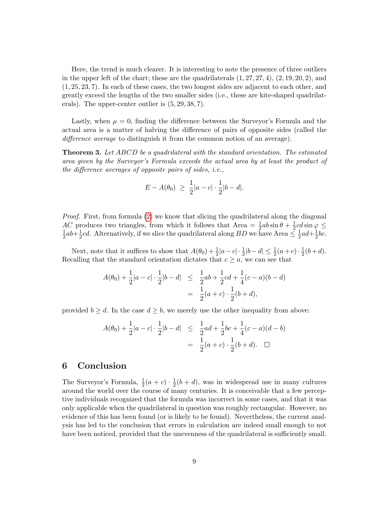Here, the trend is much clearer. It is interesting to note the presence of three outliers in the upper left of the chart; these are the quadrilaterals  $(1, 27, 27, 4)$ ,  $(2, 19, 20, 2)$ , and (1, 25, 23, 7). In each of these cases, the two longest sides are adjacent to each other, and greatly exceed the lengths of the two smaller sides (i.e., these are kite-shaped quadrilaterals). The upper-center outlier is (5, 29, 38, 7).

Lastly, when  $\mu = 0$ , finding the difference between the Surveyor's Formula and the actual area is a matter of halving the difference of pairs of opposite sides (called the difference average to distinguish it from the common notion of an average).

<span id="page-9-0"></span>**Theorem 3.** Let ABCD be a quadrilateral with the standard orientation. The estimated area given by the Surveyor's Formula exceeds the actual area by at least the product of the difference averages of opposite pairs of sides, i.e.,

$$
E - A(\theta_0) \ge \frac{1}{2}|a - c| \cdot \frac{1}{2}|b - d|.
$$

Proof. First, from formula [\(2\)](#page-4-1) we know that slicing the quadrilateral along the diagonal AC produces two triangles, from which it follows that Area  $= \frac{1}{2}ab\sin\theta + \frac{1}{2}$  $\frac{1}{2}cd\sin\varphi \leq$ 1  $rac{1}{2}ab + \frac{1}{2}$  $\frac{1}{2}cd$ . Alternatively, if we slice the quadrilateral along  $BD$  we have Area  $\leq \frac{1}{2}$  $rac{1}{2}ad + \frac{1}{2}$  $rac{1}{2}bc$ .

Next, note that it suffices to show that  $A(\theta_0) + \frac{1}{2}|a-c| \cdot \frac{1}{2}|b-d| \le \frac{1}{2}(a+c) \cdot \frac{1}{2}$  $rac{1}{2}(b+d).$ Recalling that the standard orientation dictates that  $c \geq a$ , we can see that

$$
A(\theta_0) + \frac{1}{2}|a - c| \cdot \frac{1}{2}|b - d| \leq \frac{1}{2}ab + \frac{1}{2}cd + \frac{1}{4}(c - a)(b - d)
$$
  
= 
$$
\frac{1}{2}(a + c) \cdot \frac{1}{2}(b + d),
$$

provided  $b \geq d$ . In the case  $d \geq b$ , we merely use the other inequality from above:

$$
A(\theta_0) + \frac{1}{2}|a - c| \cdot \frac{1}{2}|b - d| \leq \frac{1}{2}ad + \frac{1}{2}bc + \frac{1}{4}(c - a)(d - b)
$$
  
= 
$$
\frac{1}{2}(a + c) \cdot \frac{1}{2}(b + d). \quad \Box
$$

#### 6 Conclusion

The Surveyor's Formula,  $\frac{1}{2}(a+c) \cdot \frac{1}{2}$  $\frac{1}{2}(b+d)$ , was in widespread use in many cultures around the world over the course of many centuries. It is conceivable that a few perceptive individuals recognized that the formula was incorrect in some cases, and that it was only applicable when the quadrilateral in question was roughly rectangular. However, no evidence of this has been found (or is likely to be found). Nevertheless, the current analysis has led to the conclusion that errors in calculation are indeed small enough to not have been noticed, provided that the unevenness of the quadrilateral is sufficiently small.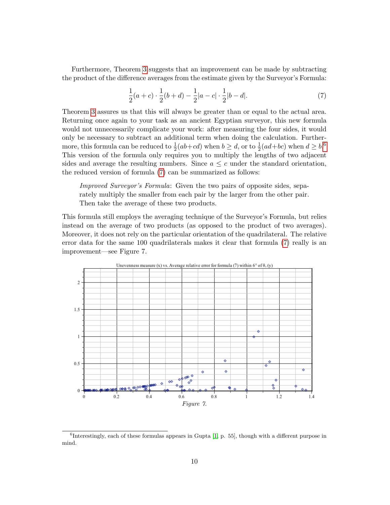Furthermore, Theorem [3](#page-9-0) suggests that an improvement can be made by subtracting the product of the difference averages from the estimate given by the Surveyor's Formula:

<span id="page-10-1"></span>
$$
\frac{1}{2}(a+c)\cdot\frac{1}{2}(b+d) - \frac{1}{2}|a-c|\cdot\frac{1}{2}|b-d|.\tag{7}
$$

Theorem [3](#page-9-0) assures us that this will always be greater than or equal to the actual area. Returning once again to your task as an ancient Egyptian surveyor, this new formula would not unnecessarily complicate your work: after measuring the four sides, it would only be necessary to subtract an additional term when doing the calculation. Furthermore, this formula can be reduced to  $\frac{1}{2}(ab+cd)$  when  $b \ge d$ , or to  $\frac{1}{2}(ad+bc)$  when  $d \ge b$ .<sup>[6](#page-10-0)</sup> This version of the formula only requires you to multiply the lengths of two adjacent sides and average the resulting numbers. Since  $a \leq c$  under the standard orientation, the reduced version of formula [\(7\)](#page-10-1) can be summarized as follows:

Improved Surveyor's Formula: Given the two pairs of opposite sides, separately multiply the smaller from each pair by the larger from the other pair. Then take the average of these two products.

This formula still employs the averaging technique of the Surveyor's Formula, but relies instead on the average of two products (as opposed to the product of two averages). Moreover, it does not rely on the particular orientation of the quadrilateral. The relative error data for the same 100 quadrilaterals makes it clear that formula [\(7\)](#page-10-1) really is an improvement—see Figure 7.



<span id="page-10-0"></span>